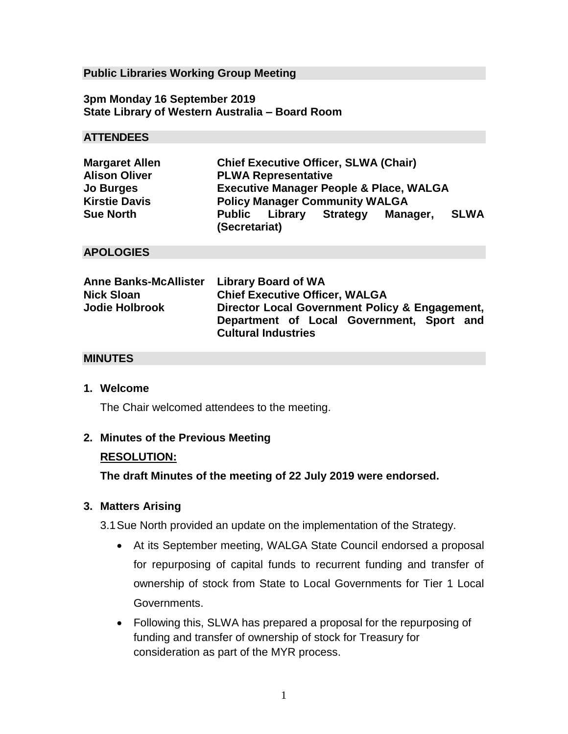## **Public Libraries Working Group Meeting**

**3pm Monday 16 September 2019 State Library of Western Australia – Board Room**

# **ATTENDEES**

| <b>Margaret Allen</b> | <b>Chief Executive Officer, SLWA (Chair)</b>       |
|-----------------------|----------------------------------------------------|
| <b>Alison Oliver</b>  | <b>PLWA Representative</b>                         |
| <b>Jo Burges</b>      | <b>Executive Manager People &amp; Place, WALGA</b> |
| <b>Kirstie Davis</b>  | <b>Policy Manager Community WALGA</b>              |
| <b>Sue North</b>      | SLWA<br><b>Public Library Strategy</b><br>Manager, |
|                       | (Secretariat)                                      |

# **APOLOGIES**

| Anne Banks-McAllister Library Board of WA |                                                                         |
|-------------------------------------------|-------------------------------------------------------------------------|
| <b>Nick Sloan</b>                         | <b>Chief Executive Officer, WALGA</b>                                   |
| <b>Jodie Holbrook</b>                     | Director Local Government Policy & Engagement,                          |
|                                           | Department of Local Government, Sport and<br><b>Cultural Industries</b> |

# **MINUTES**

#### **1. Welcome**

The Chair welcomed attendees to the meeting.

#### **2. Minutes of the Previous Meeting**

#### **RESOLUTION:**

**The draft Minutes of the meeting of 22 July 2019 were endorsed.**

#### **3. Matters Arising**

3.1Sue North provided an update on the implementation of the Strategy.

- At its September meeting, WALGA State Council endorsed a proposal for repurposing of capital funds to recurrent funding and transfer of ownership of stock from State to Local Governments for Tier 1 Local Governments.
- Following this, SLWA has prepared a proposal for the repurposing of funding and transfer of ownership of stock for Treasury for consideration as part of the MYR process.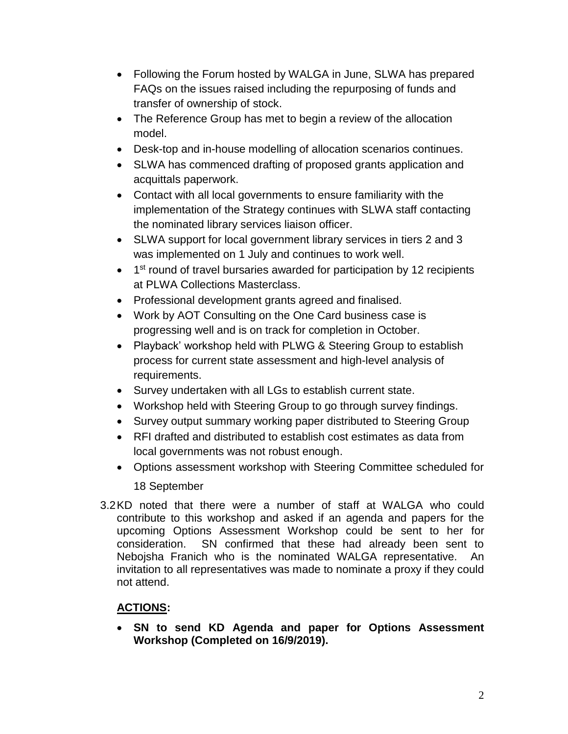- Following the Forum hosted by WALGA in June, SLWA has prepared FAQs on the issues raised including the repurposing of funds and transfer of ownership of stock.
- The Reference Group has met to begin a review of the allocation model.
- Desk-top and in-house modelling of allocation scenarios continues.
- SLWA has commenced drafting of proposed grants application and acquittals paperwork.
- Contact with all local governments to ensure familiarity with the implementation of the Strategy continues with SLWA staff contacting the nominated library services liaison officer.
- SLWA support for local government library services in tiers 2 and 3 was implemented on 1 July and continues to work well.
- 1<sup>st</sup> round of travel bursaries awarded for participation by 12 recipients at PLWA Collections Masterclass.
- Professional development grants agreed and finalised.
- Work by AOT Consulting on the One Card business case is progressing well and is on track for completion in October.
- Playback' workshop held with PLWG & Steering Group to establish process for current state assessment and high-level analysis of requirements.
- Survey undertaken with all LGs to establish current state.
- Workshop held with Steering Group to go through survey findings.
- Survey output summary working paper distributed to Steering Group
- RFI drafted and distributed to establish cost estimates as data from local governments was not robust enough.
- Options assessment workshop with Steering Committee scheduled for 18 September
- 3.2KD noted that there were a number of staff at WALGA who could contribute to this workshop and asked if an agenda and papers for the upcoming Options Assessment Workshop could be sent to her for consideration. SN confirmed that these had already been sent to Nebojsha Franich who is the nominated WALGA representative. An invitation to all representatives was made to nominate a proxy if they could not attend.

# **ACTIONS:**

• **SN to send KD Agenda and paper for Options Assessment Workshop (Completed on 16/9/2019).**